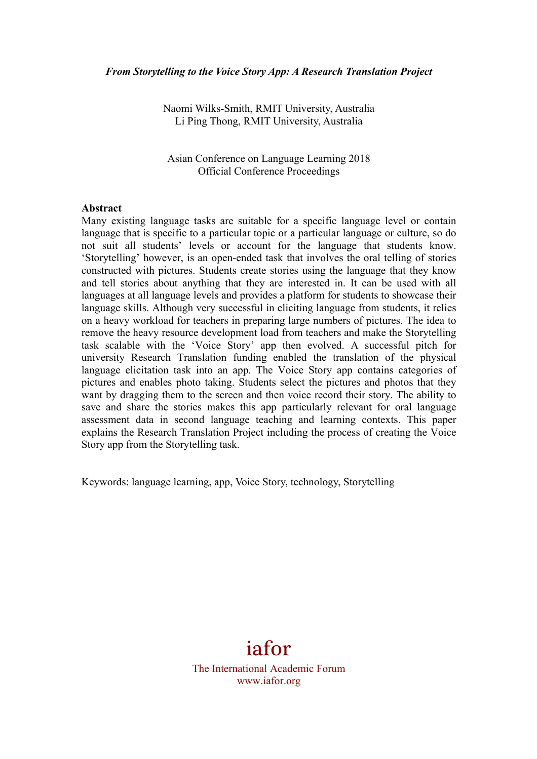Naomi Wilks-Smith, RMIT University, Australia Li Ping Thong, RMIT University, Australia

Asian Conference on Language Learning 2018 Official Conference Proceedings

#### **Abstract**

Many existing language tasks are suitable for a specific language level or contain language that is specific to a particular topic or a particular language or culture, so do not suit all students' levels or account for the language that students know. 'Storytelling' however, is an open-ended task that involves the oral telling of stories constructed with pictures. Students create stories using the language that they know and tell stories about anything that they are interested in. It can be used with all languages at all language levels and provides a platform for students to showcase their language skills. Although very successful in eliciting language from students, it relies on a heavy workload for teachers in preparing large numbers of pictures. The idea to remove the heavy resource development load from teachers and make the Storytelling task scalable with the 'Voice Story' app then evolved. A successful pitch for university Research Translation funding enabled the translation of the physical language elicitation task into an app. The Voice Story app contains categories of pictures and enables photo taking. Students select the pictures and photos that they want by dragging them to the screen and then voice record their story. The ability to save and share the stories makes this app particularly relevant for oral language assessment data in second language teaching and learning contexts. This paper explains the Research Translation Project including the process of creating the Voice Story app from the Storytelling task.

Keywords: language learning, app, Voice Story, technology, Storytelling

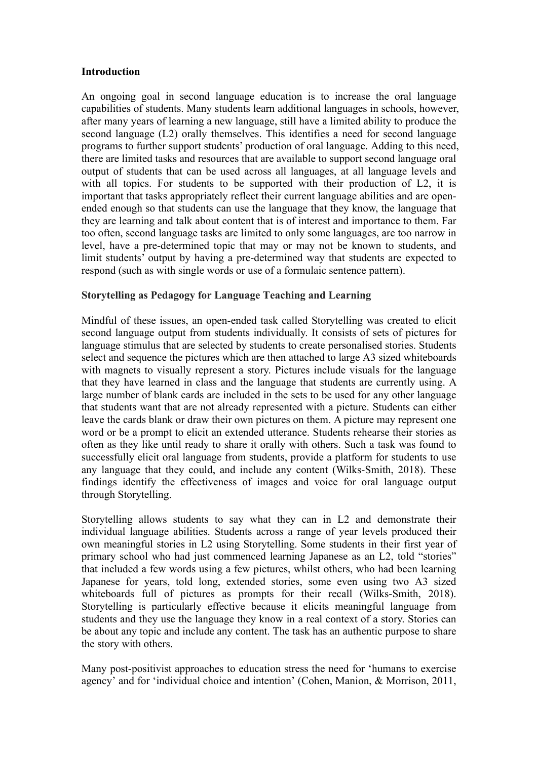### **Introduction**

An ongoing goal in second language education is to increase the oral language capabilities of students. Many students learn additional languages in schools, however, after many years of learning a new language, still have a limited ability to produce the second language (L2) orally themselves. This identifies a need for second language programs to further support students' production of oral language. Adding to this need, there are limited tasks and resources that are available to support second language oral output of students that can be used across all languages, at all language levels and with all topics. For students to be supported with their production of L2, it is important that tasks appropriately reflect their current language abilities and are openended enough so that students can use the language that they know, the language that they are learning and talk about content that is of interest and importance to them. Far too often, second language tasks are limited to only some languages, are too narrow in level, have a pre-determined topic that may or may not be known to students, and limit students' output by having a pre-determined way that students are expected to respond (such as with single words or use of a formulaic sentence pattern).

### **Storytelling as Pedagogy for Language Teaching and Learning**

Mindful of these issues, an open-ended task called Storytelling was created to elicit second language output from students individually. It consists of sets of pictures for language stimulus that are selected by students to create personalised stories. Students select and sequence the pictures which are then attached to large A3 sized whiteboards with magnets to visually represent a story. Pictures include visuals for the language that they have learned in class and the language that students are currently using. A large number of blank cards are included in the sets to be used for any other language that students want that are not already represented with a picture. Students can either leave the cards blank or draw their own pictures on them. A picture may represent one word or be a prompt to elicit an extended utterance. Students rehearse their stories as often as they like until ready to share it orally with others. Such a task was found to successfully elicit oral language from students, provide a platform for students to use any language that they could, and include any content (Wilks-Smith, 2018). These findings identify the effectiveness of images and voice for oral language output through Storytelling.

Storytelling allows students to say what they can in L2 and demonstrate their individual language abilities. Students across a range of year levels produced their own meaningful stories in L2 using Storytelling. Some students in their first year of primary school who had just commenced learning Japanese as an L2, told "stories" that included a few words using a few pictures, whilst others, who had been learning Japanese for years, told long, extended stories, some even using two A3 sized whiteboards full of pictures as prompts for their recall (Wilks-Smith, 2018). Storytelling is particularly effective because it elicits meaningful language from students and they use the language they know in a real context of a story. Stories can be about any topic and include any content. The task has an authentic purpose to share the story with others.

Many post-positivist approaches to education stress the need for 'humans to exercise agency' and for 'individual choice and intention' (Cohen, Manion, & Morrison, 2011,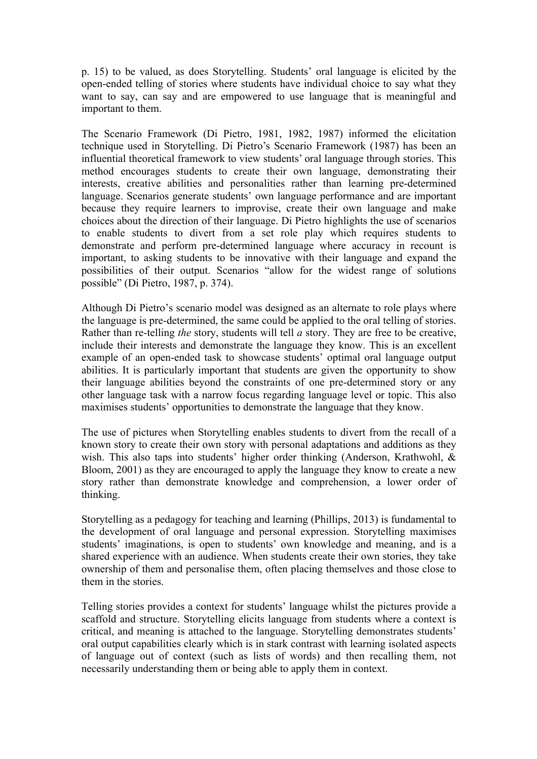p. 15) to be valued, as does Storytelling. Students' oral language is elicited by the open-ended telling of stories where students have individual choice to say what they want to say, can say and are empowered to use language that is meaningful and important to them.

The Scenario Framework (Di Pietro, 1981, 1982, 1987) informed the elicitation technique used in Storytelling. Di Pietro's Scenario Framework (1987) has been an influential theoretical framework to view students' oral language through stories. This method encourages students to create their own language, demonstrating their interests, creative abilities and personalities rather than learning pre-determined language. Scenarios generate students' own language performance and are important because they require learners to improvise, create their own language and make choices about the direction of their language. Di Pietro highlights the use of scenarios to enable students to divert from a set role play which requires students to demonstrate and perform pre-determined language where accuracy in recount is important, to asking students to be innovative with their language and expand the possibilities of their output. Scenarios "allow for the widest range of solutions possible" (Di Pietro, 1987, p. 374).

Although Di Pietro's scenario model was designed as an alternate to role plays where the language is pre-determined, the same could be applied to the oral telling of stories. Rather than re-telling *the* story, students will tell *a* story. They are free to be creative, include their interests and demonstrate the language they know. This is an excellent example of an open-ended task to showcase students' optimal oral language output abilities. It is particularly important that students are given the opportunity to show their language abilities beyond the constraints of one pre-determined story or any other language task with a narrow focus regarding language level or topic. This also maximises students' opportunities to demonstrate the language that they know.

The use of pictures when Storytelling enables students to divert from the recall of a known story to create their own story with personal adaptations and additions as they wish. This also taps into students' higher order thinking (Anderson, Krathwohl, & Bloom, 2001) as they are encouraged to apply the language they know to create a new story rather than demonstrate knowledge and comprehension, a lower order of thinking.

Storytelling as a pedagogy for teaching and learning (Phillips, 2013) is fundamental to the development of oral language and personal expression. Storytelling maximises students' imaginations, is open to students' own knowledge and meaning, and is a shared experience with an audience. When students create their own stories, they take ownership of them and personalise them, often placing themselves and those close to them in the stories.

Telling stories provides a context for students' language whilst the pictures provide a scaffold and structure. Storytelling elicits language from students where a context is critical, and meaning is attached to the language. Storytelling demonstrates students' oral output capabilities clearly which is in stark contrast with learning isolated aspects of language out of context (such as lists of words) and then recalling them, not necessarily understanding them or being able to apply them in context.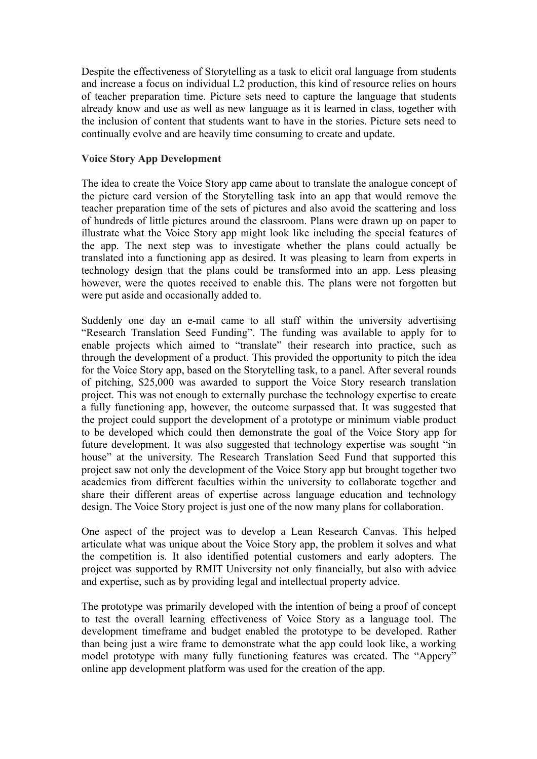Despite the effectiveness of Storytelling as a task to elicit oral language from students and increase a focus on individual L2 production, this kind of resource relies on hours of teacher preparation time. Picture sets need to capture the language that students already know and use as well as new language as it is learned in class, together with the inclusion of content that students want to have in the stories. Picture sets need to continually evolve and are heavily time consuming to create and update.

### **Voice Story App Development**

The idea to create the Voice Story app came about to translate the analogue concept of the picture card version of the Storytelling task into an app that would remove the teacher preparation time of the sets of pictures and also avoid the scattering and loss of hundreds of little pictures around the classroom. Plans were drawn up on paper to illustrate what the Voice Story app might look like including the special features of the app. The next step was to investigate whether the plans could actually be translated into a functioning app as desired. It was pleasing to learn from experts in technology design that the plans could be transformed into an app. Less pleasing however, were the quotes received to enable this. The plans were not forgotten but were put aside and occasionally added to.

Suddenly one day an e-mail came to all staff within the university advertising "Research Translation Seed Funding". The funding was available to apply for to enable projects which aimed to "translate" their research into practice, such as through the development of a product. This provided the opportunity to pitch the idea for the Voice Story app, based on the Storytelling task, to a panel. After several rounds of pitching, \$25,000 was awarded to support the Voice Story research translation project. This was not enough to externally purchase the technology expertise to create a fully functioning app, however, the outcome surpassed that. It was suggested that the project could support the development of a prototype or minimum viable product to be developed which could then demonstrate the goal of the Voice Story app for future development. It was also suggested that technology expertise was sought "in house" at the university. The Research Translation Seed Fund that supported this project saw not only the development of the Voice Story app but brought together two academics from different faculties within the university to collaborate together and share their different areas of expertise across language education and technology design. The Voice Story project is just one of the now many plans for collaboration.

One aspect of the project was to develop a Lean Research Canvas. This helped articulate what was unique about the Voice Story app, the problem it solves and what the competition is. It also identified potential customers and early adopters. The project was supported by RMIT University not only financially, but also with advice and expertise, such as by providing legal and intellectual property advice.

The prototype was primarily developed with the intention of being a proof of concept to test the overall learning effectiveness of Voice Story as a language tool. The development timeframe and budget enabled the prototype to be developed. Rather than being just a wire frame to demonstrate what the app could look like, a working model prototype with many fully functioning features was created. The "Appery" online app development platform was used for the creation of the app.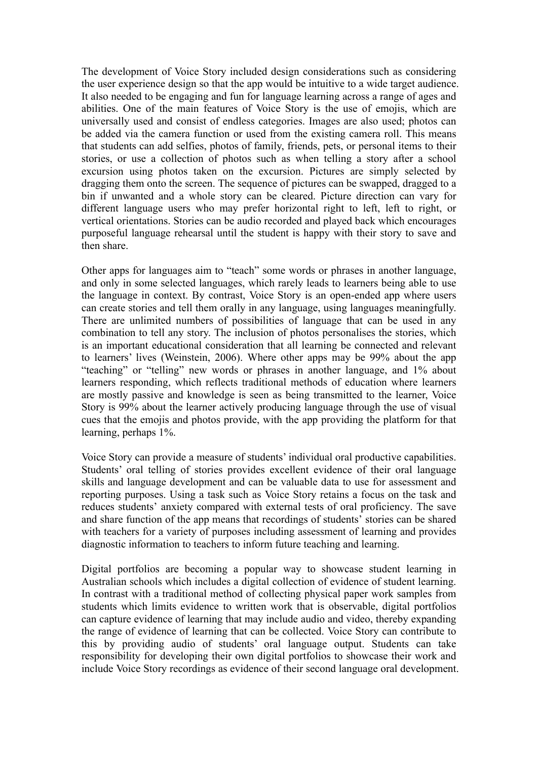The development of Voice Story included design considerations such as considering the user experience design so that the app would be intuitive to a wide target audience. It also needed to be engaging and fun for language learning across a range of ages and abilities. One of the main features of Voice Story is the use of emojis, which are universally used and consist of endless categories. Images are also used; photos can be added via the camera function or used from the existing camera roll. This means that students can add selfies, photos of family, friends, pets, or personal items to their stories, or use a collection of photos such as when telling a story after a school excursion using photos taken on the excursion. Pictures are simply selected by dragging them onto the screen. The sequence of pictures can be swapped, dragged to a bin if unwanted and a whole story can be cleared. Picture direction can vary for different language users who may prefer horizontal right to left, left to right, or vertical orientations. Stories can be audio recorded and played back which encourages purposeful language rehearsal until the student is happy with their story to save and then share.

Other apps for languages aim to "teach" some words or phrases in another language, and only in some selected languages, which rarely leads to learners being able to use the language in context. By contrast, Voice Story is an open-ended app where users can create stories and tell them orally in any language, using languages meaningfully. There are unlimited numbers of possibilities of language that can be used in any combination to tell any story. The inclusion of photos personalises the stories, which is an important educational consideration that all learning be connected and relevant to learners' lives (Weinstein, 2006). Where other apps may be 99% about the app "teaching" or "telling" new words or phrases in another language, and 1% about learners responding, which reflects traditional methods of education where learners are mostly passive and knowledge is seen as being transmitted to the learner, Voice Story is 99% about the learner actively producing language through the use of visual cues that the emojis and photos provide, with the app providing the platform for that learning, perhaps 1%.

Voice Story can provide a measure of students' individual oral productive capabilities. Students' oral telling of stories provides excellent evidence of their oral language skills and language development and can be valuable data to use for assessment and reporting purposes. Using a task such as Voice Story retains a focus on the task and reduces students' anxiety compared with external tests of oral proficiency. The save and share function of the app means that recordings of students' stories can be shared with teachers for a variety of purposes including assessment of learning and provides diagnostic information to teachers to inform future teaching and learning.

Digital portfolios are becoming a popular way to showcase student learning in Australian schools which includes a digital collection of evidence of student learning. In contrast with a traditional method of collecting physical paper work samples from students which limits evidence to written work that is observable, digital portfolios can capture evidence of learning that may include audio and video, thereby expanding the range of evidence of learning that can be collected. Voice Story can contribute to this by providing audio of students' oral language output. Students can take responsibility for developing their own digital portfolios to showcase their work and include Voice Story recordings as evidence of their second language oral development.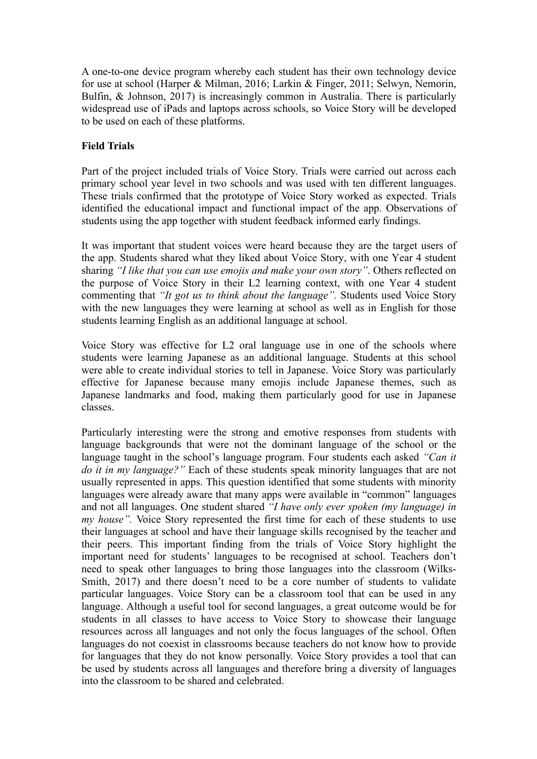A one-to-one device program whereby each student has their own technology device for use at school (Harper & Milman, 2016; Larkin & Finger, 2011; Selwyn, Nemorin, Bulfin, & Johnson, 2017) is increasingly common in Australia. There is particularly widespread use of iPads and laptops across schools, so Voice Story will be developed to be used on each of these platforms.

## **Field Trials**

Part of the project included trials of Voice Story. Trials were carried out across each primary school year level in two schools and was used with ten different languages. These trials confirmed that the prototype of Voice Story worked as expected. Trials identified the educational impact and functional impact of the app. Observations of students using the app together with student feedback informed early findings.

It was important that student voices were heard because they are the target users of the app. Students shared what they liked about Voice Story, with one Year 4 student sharing *"I like that you can use emojis and make your own story"*. Others reflected on the purpose of Voice Story in their L2 learning context, with one Year 4 student commenting that *"It got us to think about the language".* Students used Voice Story with the new languages they were learning at school as well as in English for those students learning English as an additional language at school.

Voice Story was effective for L2 oral language use in one of the schools where students were learning Japanese as an additional language. Students at this school were able to create individual stories to tell in Japanese. Voice Story was particularly effective for Japanese because many emojis include Japanese themes, such as Japanese landmarks and food, making them particularly good for use in Japanese classes.

Particularly interesting were the strong and emotive responses from students with language backgrounds that were not the dominant language of the school or the language taught in the school's language program. Four students each asked *"Can it do it in my language?"* Each of these students speak minority languages that are not usually represented in apps. This question identified that some students with minority languages were already aware that many apps were available in "common" languages and not all languages. One student shared *"I have only ever spoken (my language) in my house".* Voice Story represented the first time for each of these students to use their languages at school and have their language skills recognised by the teacher and their peers. This important finding from the trials of Voice Story highlight the important need for students' languages to be recognised at school. Teachers don't need to speak other languages to bring those languages into the classroom (Wilks-Smith, 2017) and there doesn't need to be a core number of students to validate particular languages. Voice Story can be a classroom tool that can be used in any language. Although a useful tool for second languages, a great outcome would be for students in all classes to have access to Voice Story to showcase their language resources across all languages and not only the focus languages of the school. Often languages do not coexist in classrooms because teachers do not know how to provide for languages that they do not know personally. Voice Story provides a tool that can be used by students across all languages and therefore bring a diversity of languages into the classroom to be shared and celebrated.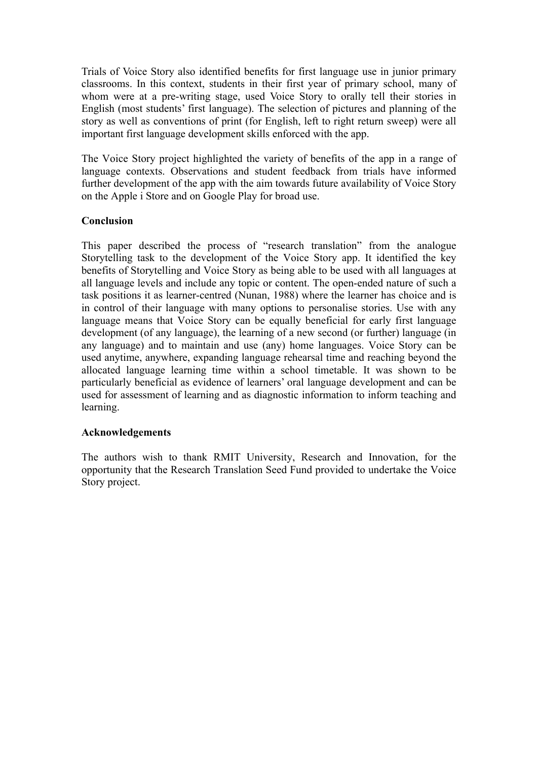Trials of Voice Story also identified benefits for first language use in junior primary classrooms. In this context, students in their first year of primary school, many of whom were at a pre-writing stage, used Voice Story to orally tell their stories in English (most students' first language). The selection of pictures and planning of the story as well as conventions of print (for English, left to right return sweep) were all important first language development skills enforced with the app.

The Voice Story project highlighted the variety of benefits of the app in a range of language contexts. Observations and student feedback from trials have informed further development of the app with the aim towards future availability of Voice Story on the Apple i Store and on Google Play for broad use.

# **Conclusion**

This paper described the process of "research translation" from the analogue Storytelling task to the development of the Voice Story app. It identified the key benefits of Storytelling and Voice Story as being able to be used with all languages at all language levels and include any topic or content. The open-ended nature of such a task positions it as learner-centred (Nunan, 1988) where the learner has choice and is in control of their language with many options to personalise stories. Use with any language means that Voice Story can be equally beneficial for early first language development (of any language), the learning of a new second (or further) language (in any language) and to maintain and use (any) home languages. Voice Story can be used anytime, anywhere, expanding language rehearsal time and reaching beyond the allocated language learning time within a school timetable. It was shown to be particularly beneficial as evidence of learners' oral language development and can be used for assessment of learning and as diagnostic information to inform teaching and learning.

### **Acknowledgements**

The authors wish to thank RMIT University, Research and Innovation, for the opportunity that the Research Translation Seed Fund provided to undertake the Voice Story project.